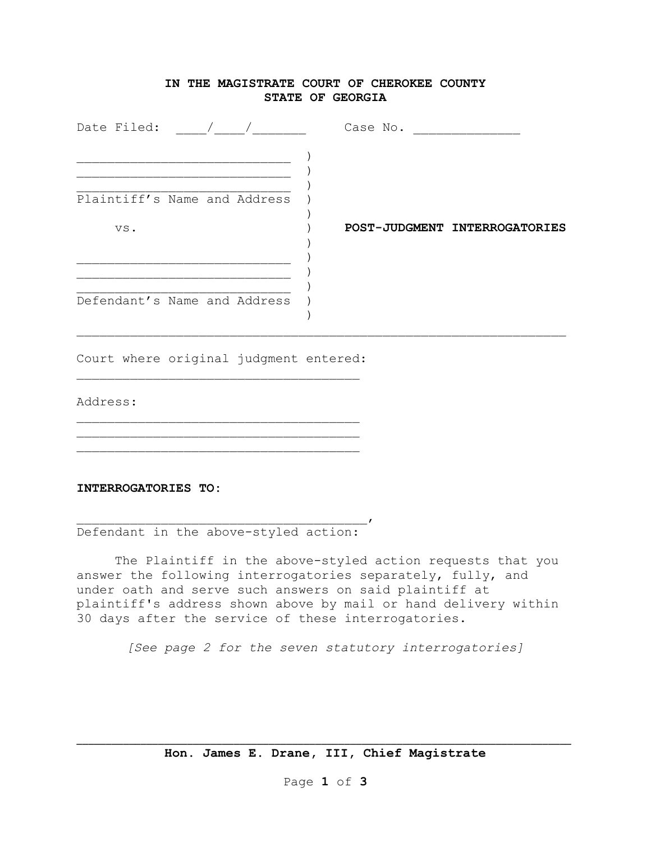## **IN THE MAGISTRATE COURT OF CHEROKEE COUNTY STATE OF GEORGIA**

| Date Filed:                  | Case No.                      |
|------------------------------|-------------------------------|
|                              |                               |
| Plaintiff's Name and Address |                               |
| VS.                          | POST-JUDGMENT INTERROGATORIES |
|                              |                               |
| Defendant's Name and Address |                               |

Court where original judgment entered: \_\_\_\_\_\_\_\_\_\_\_\_\_\_\_\_\_\_\_\_\_\_\_\_\_\_\_\_\_\_\_\_\_\_\_\_\_

\_\_\_\_\_\_\_\_\_\_\_\_\_\_\_\_\_\_\_\_\_\_\_\_\_\_\_\_\_\_\_\_\_\_\_\_\_ \_\_\_\_\_\_\_\_\_\_\_\_\_\_\_\_\_\_\_\_\_\_\_\_\_\_\_\_\_\_\_\_\_\_\_\_\_ \_\_\_\_\_\_\_\_\_\_\_\_\_\_\_\_\_\_\_\_\_\_\_\_\_\_\_\_\_\_\_\_\_\_\_\_\_

Address:

## **INTERROGATORIES TO:**

\_\_\_\_\_\_\_\_\_\_\_\_\_\_\_\_\_\_\_\_\_\_\_\_\_\_\_\_\_\_\_\_\_\_\_\_\_\_, Defendant in the above-styled action:

The Plaintiff in the above-styled action requests that you answer the following interrogatories separately, fully, and under oath and serve such answers on said plaintiff at plaintiff's address shown above by mail or hand delivery within 30 days after the service of these interrogatories.

*[See page 2 for the seven statutory interrogatories]*

\_\_\_\_\_\_\_\_\_\_\_\_\_\_\_\_\_\_\_\_\_\_\_\_\_\_\_\_\_\_\_\_\_\_\_\_\_\_\_\_\_\_\_\_\_\_\_\_\_\_\_\_\_\_\_\_\_\_\_\_\_\_\_\_\_\_\_\_\_\_\_\_\_\_\_\_\_\_\_\_\_\_\_\_\_ **Hon. James E. Drane, III, Chief Magistrate**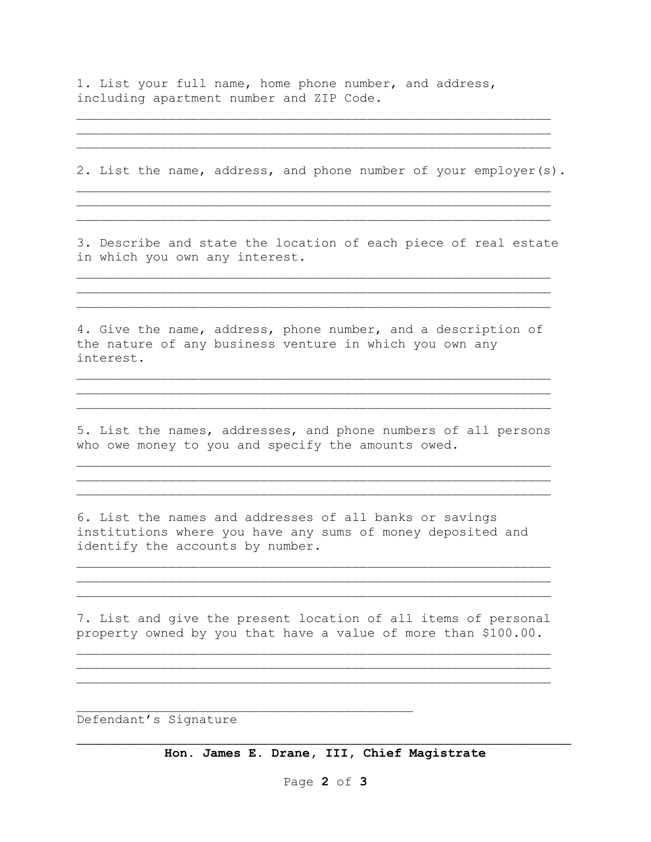1. List your full name, home phone number, and address, including apartment number and ZIP Code.

2. List the name, address, and phone number of your employer(s).

\_\_\_\_\_\_\_\_\_\_\_\_\_\_\_\_\_\_\_\_\_\_\_\_\_\_\_\_\_\_\_\_\_\_\_\_\_\_\_\_\_\_\_\_\_\_\_\_\_\_\_\_\_\_\_\_\_\_\_\_\_\_

\_\_\_\_\_\_\_\_\_\_\_\_\_\_\_\_\_\_\_\_\_\_\_\_\_\_\_\_\_\_\_\_\_\_\_\_\_\_\_\_\_\_\_\_\_\_\_\_\_\_\_\_\_\_\_\_\_\_\_\_\_\_

\_\_\_\_\_\_\_\_\_\_\_\_\_\_\_\_\_\_\_\_\_\_\_\_\_\_\_\_\_\_\_\_\_\_\_\_\_\_\_\_\_\_\_\_\_\_\_\_\_\_\_\_\_\_\_\_\_\_\_\_\_\_

\_\_\_\_\_\_\_\_\_\_\_\_\_\_\_\_\_\_\_\_\_\_\_\_\_\_\_\_\_\_\_\_\_\_\_\_\_\_\_\_\_\_\_\_\_\_\_\_\_\_\_\_\_\_\_\_\_\_\_\_\_\_ \_\_\_\_\_\_\_\_\_\_\_\_\_\_\_\_\_\_\_\_\_\_\_\_\_\_\_\_\_\_\_\_\_\_\_\_\_\_\_\_\_\_\_\_\_\_\_\_\_\_\_\_\_\_\_\_\_\_\_\_\_\_ \_\_\_\_\_\_\_\_\_\_\_\_\_\_\_\_\_\_\_\_\_\_\_\_\_\_\_\_\_\_\_\_\_\_\_\_\_\_\_\_\_\_\_\_\_\_\_\_\_\_\_\_\_\_\_\_\_\_\_\_\_\_

3. Describe and state the location of each piece of real estate in which you own any interest.

\_\_\_\_\_\_\_\_\_\_\_\_\_\_\_\_\_\_\_\_\_\_\_\_\_\_\_\_\_\_\_\_\_\_\_\_\_\_\_\_\_\_\_\_\_\_\_\_\_\_\_\_\_\_\_\_\_\_\_\_\_\_ \_\_\_\_\_\_\_\_\_\_\_\_\_\_\_\_\_\_\_\_\_\_\_\_\_\_\_\_\_\_\_\_\_\_\_\_\_\_\_\_\_\_\_\_\_\_\_\_\_\_\_\_\_\_\_\_\_\_\_\_\_\_

\_\_\_\_\_\_\_\_\_\_\_\_\_\_\_\_\_\_\_\_\_\_\_\_\_\_\_\_\_\_\_\_\_\_\_\_\_\_\_\_\_\_\_\_\_\_\_\_\_\_\_\_\_\_\_\_\_\_\_\_\_\_

4. Give the name, address, phone number, and a description of the nature of any business venture in which you own any interest.

\_\_\_\_\_\_\_\_\_\_\_\_\_\_\_\_\_\_\_\_\_\_\_\_\_\_\_\_\_\_\_\_\_\_\_\_\_\_\_\_\_\_\_\_\_\_\_\_\_\_\_\_\_\_\_\_\_\_\_\_\_\_ \_\_\_\_\_\_\_\_\_\_\_\_\_\_\_\_\_\_\_\_\_\_\_\_\_\_\_\_\_\_\_\_\_\_\_\_\_\_\_\_\_\_\_\_\_\_\_\_\_\_\_\_\_\_\_\_\_\_\_\_\_\_ \_\_\_\_\_\_\_\_\_\_\_\_\_\_\_\_\_\_\_\_\_\_\_\_\_\_\_\_\_\_\_\_\_\_\_\_\_\_\_\_\_\_\_\_\_\_\_\_\_\_\_\_\_\_\_\_\_\_\_\_\_\_

5. List the names, addresses, and phone numbers of all persons who owe money to you and specify the amounts owed.

\_\_\_\_\_\_\_\_\_\_\_\_\_\_\_\_\_\_\_\_\_\_\_\_\_\_\_\_\_\_\_\_\_\_\_\_\_\_\_\_\_\_\_\_\_\_\_\_\_\_\_\_\_\_\_\_\_\_\_\_\_\_ \_\_\_\_\_\_\_\_\_\_\_\_\_\_\_\_\_\_\_\_\_\_\_\_\_\_\_\_\_\_\_\_\_\_\_\_\_\_\_\_\_\_\_\_\_\_\_\_\_\_\_\_\_\_\_\_\_\_\_\_\_\_ \_\_\_\_\_\_\_\_\_\_\_\_\_\_\_\_\_\_\_\_\_\_\_\_\_\_\_\_\_\_\_\_\_\_\_\_\_\_\_\_\_\_\_\_\_\_\_\_\_\_\_\_\_\_\_\_\_\_\_\_\_\_

6. List the names and addresses of all banks or savings institutions where you have any sums of money deposited and identify the accounts by number.

7. List and give the present location of all items of personal property owned by you that have a value of more than \$100.00.

\_\_\_\_\_\_\_\_\_\_\_\_\_\_\_\_\_\_\_\_\_\_\_\_\_\_\_\_\_\_\_\_\_\_\_\_\_\_\_\_\_\_\_\_\_\_\_\_\_\_\_\_\_\_\_\_\_\_\_\_\_\_ \_\_\_\_\_\_\_\_\_\_\_\_\_\_\_\_\_\_\_\_\_\_\_\_\_\_\_\_\_\_\_\_\_\_\_\_\_\_\_\_\_\_\_\_\_\_\_\_\_\_\_\_\_\_\_\_\_\_\_\_\_\_ \_\_\_\_\_\_\_\_\_\_\_\_\_\_\_\_\_\_\_\_\_\_\_\_\_\_\_\_\_\_\_\_\_\_\_\_\_\_\_\_\_\_\_\_\_\_\_\_\_\_\_\_\_\_\_\_\_\_\_\_\_\_

\_\_\_\_\_\_\_\_\_\_\_\_\_\_\_\_\_\_\_\_\_\_\_\_\_\_\_\_\_\_\_\_\_\_\_\_\_\_\_\_\_\_\_\_

\_\_\_\_\_\_\_\_\_\_\_\_\_\_\_\_\_\_\_\_\_\_\_\_\_\_\_\_\_\_\_\_\_\_\_\_\_\_\_\_\_\_\_\_\_\_\_\_\_\_\_\_\_\_\_\_\_\_\_\_\_\_ \_\_\_\_\_\_\_\_\_\_\_\_\_\_\_\_\_\_\_\_\_\_\_\_\_\_\_\_\_\_\_\_\_\_\_\_\_\_\_\_\_\_\_\_\_\_\_\_\_\_\_\_\_\_\_\_\_\_\_\_\_\_ \_\_\_\_\_\_\_\_\_\_\_\_\_\_\_\_\_\_\_\_\_\_\_\_\_\_\_\_\_\_\_\_\_\_\_\_\_\_\_\_\_\_\_\_\_\_\_\_\_\_\_\_\_\_\_\_\_\_\_\_\_\_

Defendant's Signature

\_\_\_\_\_\_\_\_\_\_\_\_\_\_\_\_\_\_\_\_\_\_\_\_\_\_\_\_\_\_\_\_\_\_\_\_\_\_\_\_\_\_\_\_\_\_\_\_\_\_\_\_\_\_\_\_\_\_\_\_\_\_\_\_\_\_\_\_\_\_\_\_\_\_\_\_\_\_\_\_\_\_\_\_\_ **Hon. James E. Drane, III, Chief Magistrate**